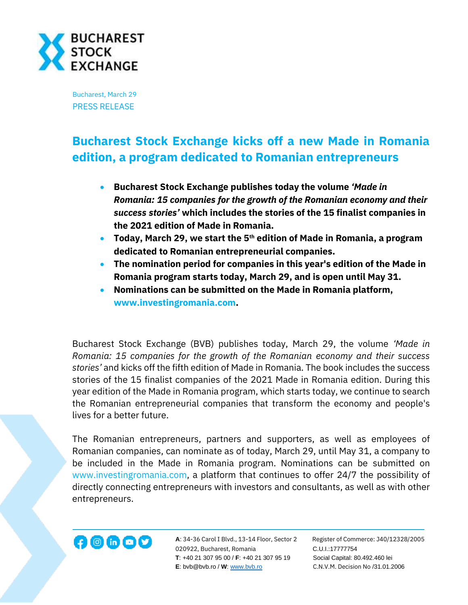

Bucharest, March 29 PRESS RELEASE

## **Bucharest Stock Exchange kicks off a new Made in Romania edition, a program dedicated to Romanian entrepreneurs**

- **Bucharest Stock Exchange publishes today the volume** *'Made in Romania: 15 companies for the growth of the Romanian economy and their success stories'* **which includes the stories of the 15 finalist companies in the 2021 edition of Made in Romania.**
- **Today, March 29, we start the 5th edition of Made in Romania, a program dedicated to Romanian entrepreneurial companies.**
- **The nomination period for companies in this year's edition of the Made in Romania program starts today, March 29, and is open until May 31.**
- **Nominations can be submitted on the Made in Romania platform, [www.investingromania.com.](http://www.investingromania.com/)**

Bucharest Stock Exchange (BVB) publishes today, March 29, the volume *'Made in Romania: 15 companies for the growth of the Romanian economy and their success stories'* and kicks off the fifth edition of Made in Romania. The book includes the success stories of the 15 finalist companies of the 2021 Made in Romania edition. During this year edition of the Made in Romania program, which starts today, we continue to search the Romanian entrepreneurial companies that transform the economy and people's lives for a better future.

The Romanian entrepreneurs, partners and supporters, as well as employees of Romanian companies, can nominate as of today, March 29, until May 31, a company to be included in the Made in Romania program. Nominations can be submitted on [www.investingromania.com,](http://www.investingromania.com/) a platform that continues to offer 24/7 the possibility of directly connecting entrepreneurs with investors and consultants, as well as with other entrepreneurs.



**A**: 34-36 Carol I Blvd., 13-14 Floor, Sector 2 Register of Commerce: J40/12328/2005 020922, Bucharest, Romania C.U.I.:17777754  **T**: +40 21 307 95 00 / **F**: +40 21 307 95 19 Social Capital: 80.492.460 lei  **E**: bvb@bvb.ro / **W**[: www.bvb.ro](http://www.bvb.ro/) C.N.V.M. Decision No /31.01.2006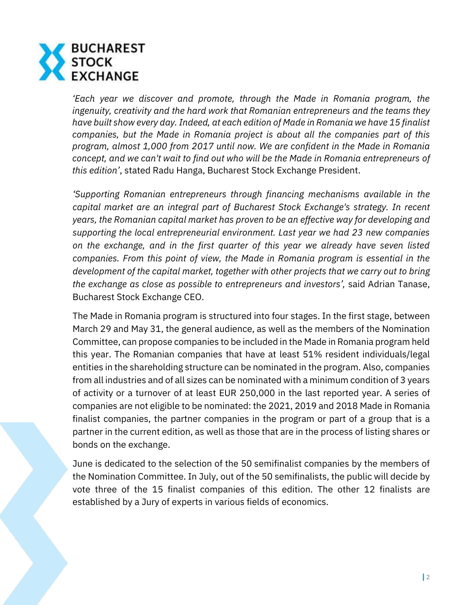

*'Each year we discover and promote, through the Made in Romania program, the ingenuity, creativity and the hard work that Romanian entrepreneurs and the teams they have built show every day. Indeed, at each edition of Made in Romania we have 15 finalist companies, but the Made in Romania project is about all the companies part of this program, almost 1,000 from 2017 until now. We are confident in the Made in Romania concept, and we can't wait to find out who will be the Made in Romania entrepreneurs of this edition'*, stated Radu Hanga, Bucharest Stock Exchange President.

*'Supporting Romanian entrepreneurs through financing mechanisms available in the capital market are an integral part of Bucharest Stock Exchange's strategy. In recent years, the Romanian capital market has proven to be an effective way for developing and supporting the local entrepreneurial environment. Last year we had 23 new companies on the exchange, and in the first quarter of this year we already have seven listed companies. From this point of view, the Made in Romania program is essential in the development of the capital market, together with other projects that we carry out to bring the exchange as close as possible to entrepreneurs and investors',* said Adrian Tanase, Bucharest Stock Exchange CEO.

The Made in Romania program is structured into four stages. In the first stage, between March 29 and May 31, the general audience, as well as the members of the Nomination Committee, can propose companies to be included in the Made in Romania program held this year. The Romanian companies that have at least 51% resident individuals/legal entities in the shareholding structure can be nominated in the program. Also, companies from all industries and of all sizes can be nominated with a minimum condition of 3 years of activity or a turnover of at least EUR 250,000 in the last reported year. A series of companies are not eligible to be nominated: the 2021, 2019 and 2018 Made in Romania finalist companies, the partner companies in the program or part of a group that is a partner in the current edition, as well as those that are in the process of listing shares or bonds on the exchange.

June is dedicated to the selection of the 50 semifinalist companies by the members of the Nomination Committee. In July, out of the 50 semifinalists, the public will decide by vote three of the 15 finalist companies of this edition. The other 12 finalists are established by a Jury of experts in various fields of economics.